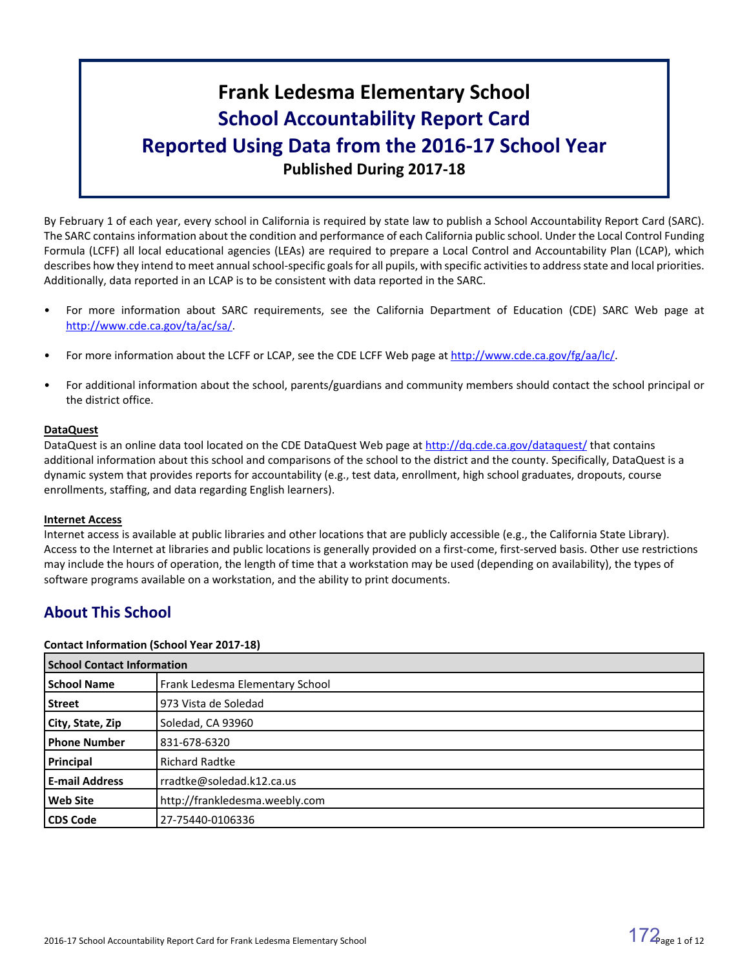# **Frank Ledesma Elementary School School Accountability Report Card Reported Using Data from the 2016-17 School Year Published During 2017-18**

By February 1 of each year, every school in California is required by state law to publish a School Accountability Report Card (SARC). The SARC contains information about the condition and performance of each California public school. Under the Local Control Funding Formula (LCFF) all local educational agencies (LEAs) are required to prepare a Local Control and Accountability Plan (LCAP), which describes how they intend to meet annual school-specific goals for all pupils, with specific activities to address state and local priorities. Additionally, data reported in an LCAP is to be consistent with data reported in the SARC.

- For more information about SARC requirements, see the California Department of Education (CDE) SARC Web page at [http://www.cde.ca.gov/ta/ac/sa/.](http://www.cde.ca.gov/ta/ac/sa/)
- For more information about the LCFF or LCAP, see the CDE LCFF Web page at [http://www.cde.ca.gov/fg/aa/lc/.](http://www.cde.ca.gov/fg/aa/lc/)
- For additional information about the school, parents/guardians and community members should contact the school principal or the district office.

# **DataQuest**

DataQuest is an online data tool located on the CDE DataQuest Web page at <http://dq.cde.ca.gov/dataquest/> that contains additional information about this school and comparisons of the school to the district and the county. Specifically, DataQuest is a dynamic system that provides reports for accountability (e.g., test data, enrollment, high school graduates, dropouts, course enrollments, staffing, and data regarding English learners).

# **Internet Access**

Internet access is available at public libraries and other locations that are publicly accessible (e.g., the California State Library). Access to the Internet at libraries and public locations is generally provided on a first-come, first-served basis. Other use restrictions may include the hours of operation, the length of time that a workstation may be used (depending on availability), the types of software programs available on a workstation, and the ability to print documents.

# **About This School**

# **Contact Information (School Year 2017-18)**

| <b>School Contact Information</b> |                                 |  |  |  |
|-----------------------------------|---------------------------------|--|--|--|
| <b>School Name</b>                | Frank Ledesma Elementary School |  |  |  |
| <b>Street</b>                     | 973 Vista de Soledad            |  |  |  |
| City, State, Zip                  | Soledad, CA 93960               |  |  |  |
| <b>Phone Number</b>               | 831-678-6320                    |  |  |  |
| Principal                         | <b>Richard Radtke</b>           |  |  |  |
| <b>E-mail Address</b>             | rradtke@soledad.k12.ca.us       |  |  |  |
| <b>Web Site</b>                   | http://frankledesma.weebly.com  |  |  |  |
| <b>CDS Code</b>                   | 27-75440-0106336                |  |  |  |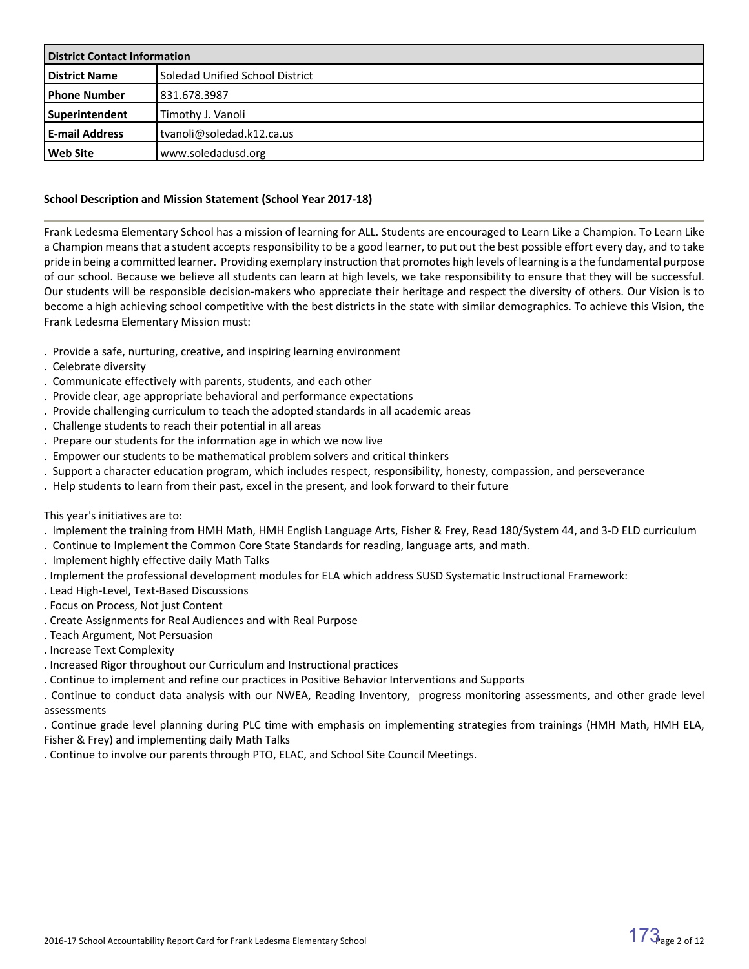| <b>District Contact Information</b> |                                 |  |  |
|-------------------------------------|---------------------------------|--|--|
| <b>District Name</b>                | Soledad Unified School District |  |  |
| l Phone Number                      | 831.678.3987                    |  |  |
| Superintendent                      | Timothy J. Vanoli               |  |  |
| <b>E-mail Address</b>               | tvanoli@soledad.k12.ca.us       |  |  |
| l Web Site                          | www.soledadusd.org              |  |  |

# **School Description and Mission Statement (School Year 2017-18)**

Frank Ledesma Elementary School has a mission of learning for ALL. Students are encouraged to Learn Like a Champion. To Learn Like a Champion means that a student accepts responsibility to be a good learner, to put out the best possible effort every day, and to take pride in being a committed learner. Providing exemplary instruction that promotes high levels of learning is a the fundamental purpose of our school. Because we believe all students can learn at high levels, we take responsibility to ensure that they will be successful. Our students will be responsible decision-makers who appreciate their heritage and respect the diversity of others. Our Vision is to become a high achieving school competitive with the best districts in the state with similar demographics. To achieve this Vision, the Frank Ledesma Elementary Mission must:

- . Provide a safe, nurturing, creative, and inspiring learning environment
- . Celebrate diversity
- . Communicate effectively with parents, students, and each other
- . Provide clear, age appropriate behavioral and performance expectations
- . Provide challenging curriculum to teach the adopted standards in all academic areas
- . Challenge students to reach their potential in all areas
- . Prepare our students for the information age in which we now live
- . Empower our students to be mathematical problem solvers and critical thinkers
- . Support a character education program, which includes respect, responsibility, honesty, compassion, and perseverance
- . Help students to learn from their past, excel in the present, and look forward to their future

This year's initiatives are to:

- . Implement the training from HMH Math, HMH English Language Arts, Fisher & Frey, Read 180/System 44, and 3-D ELD curriculum
- . Continue to Implement the Common Core State Standards for reading, language arts, and math.
- . Implement highly effective daily Math Talks
- . Implement the professional development modules for ELA which address SUSD Systematic Instructional Framework:
- . Lead High-Level, Text-Based Discussions
- . Focus on Process, Not just Content
- . Create Assignments for Real Audiences and with Real Purpose
- . Teach Argument, Not Persuasion
- . Increase Text Complexity
- . Increased Rigor throughout our Curriculum and Instructional practices
- . Continue to implement and refine our practices in Positive Behavior Interventions and Supports

. Continue to conduct data analysis with our NWEA, Reading Inventory, progress monitoring assessments, and other grade level assessments

. Continue grade level planning during PLC time with emphasis on implementing strategies from trainings (HMH Math, HMH ELA, Fisher & Frey) and implementing daily Math Talks

. Continue to involve our parents through PTO, ELAC, and School Site Council Meetings.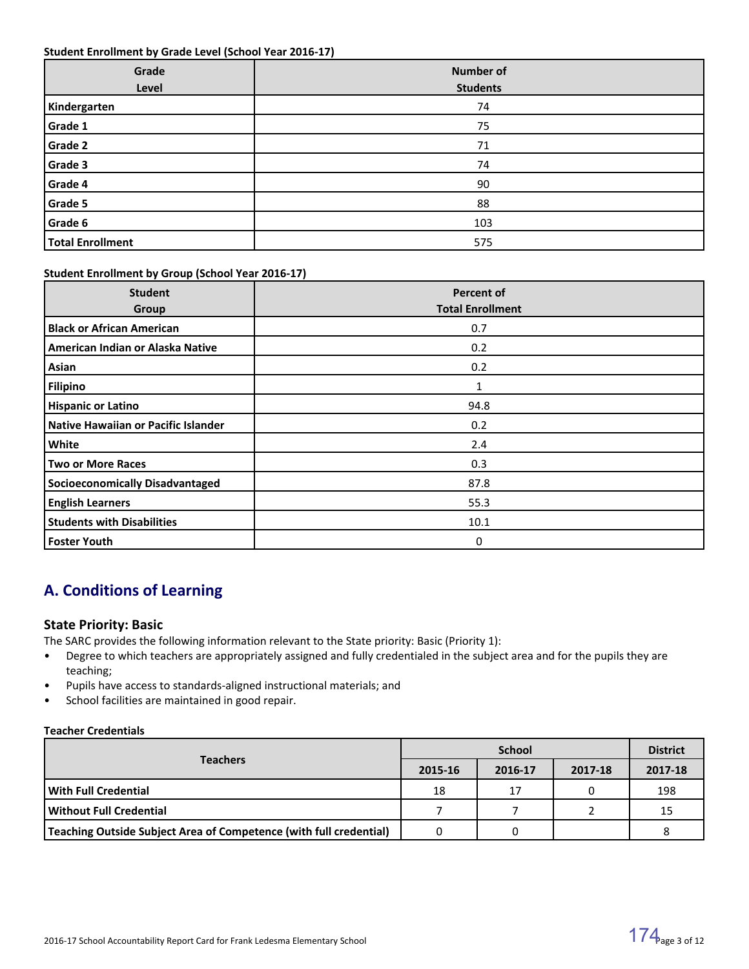#### **Student Enrollment by Grade Level (School Year 2016-17)**

| Grade<br>Level          | <b>Number of</b><br><b>Students</b> |
|-------------------------|-------------------------------------|
| Kindergarten            | 74                                  |
| Grade 1                 | 75                                  |
| Grade 2                 | 71                                  |
| Grade 3                 | 74                                  |
| Grade 4                 | 90                                  |
| Grade 5                 | 88                                  |
| Grade 6                 | 103                                 |
| <b>Total Enrollment</b> | 575                                 |

#### **Student Enrollment by Group (School Year 2016-17)**

| <b>Student</b><br>Group                | <b>Percent of</b><br><b>Total Enrollment</b> |
|----------------------------------------|----------------------------------------------|
| <b>Black or African American</b>       | 0.7                                          |
| American Indian or Alaska Native       | 0.2                                          |
| Asian                                  | 0.2                                          |
| <b>Filipino</b>                        |                                              |
| <b>Hispanic or Latino</b>              | 94.8                                         |
| Native Hawaiian or Pacific Islander    | 0.2                                          |
| White                                  | 2.4                                          |
| <b>Two or More Races</b>               | 0.3                                          |
| <b>Socioeconomically Disadvantaged</b> | 87.8                                         |
| <b>English Learners</b>                | 55.3                                         |
| <b>Students with Disabilities</b>      | 10.1                                         |
| <b>Foster Youth</b>                    | 0                                            |

# **A. Conditions of Learning**

# **State Priority: Basic**

The SARC provides the following information relevant to the State priority: Basic (Priority 1):

- Degree to which teachers are appropriately assigned and fully credentialed in the subject area and for the pupils they are teaching;
- Pupils have access to standards-aligned instructional materials; and
- School facilities are maintained in good repair.

**Teacher Credentials**

|                                                                           |         | <b>District</b> |         |         |
|---------------------------------------------------------------------------|---------|-----------------|---------|---------|
| <b>Teachers</b>                                                           | 2015-16 | 2016-17         | 2017-18 | 2017-18 |
| l With Full Credential                                                    | 18      | 17              |         | 198     |
| l Without Full Credential                                                 |         |                 |         | 15      |
| <b>Teaching Outside Subject Area of Competence (with full credential)</b> |         |                 |         |         |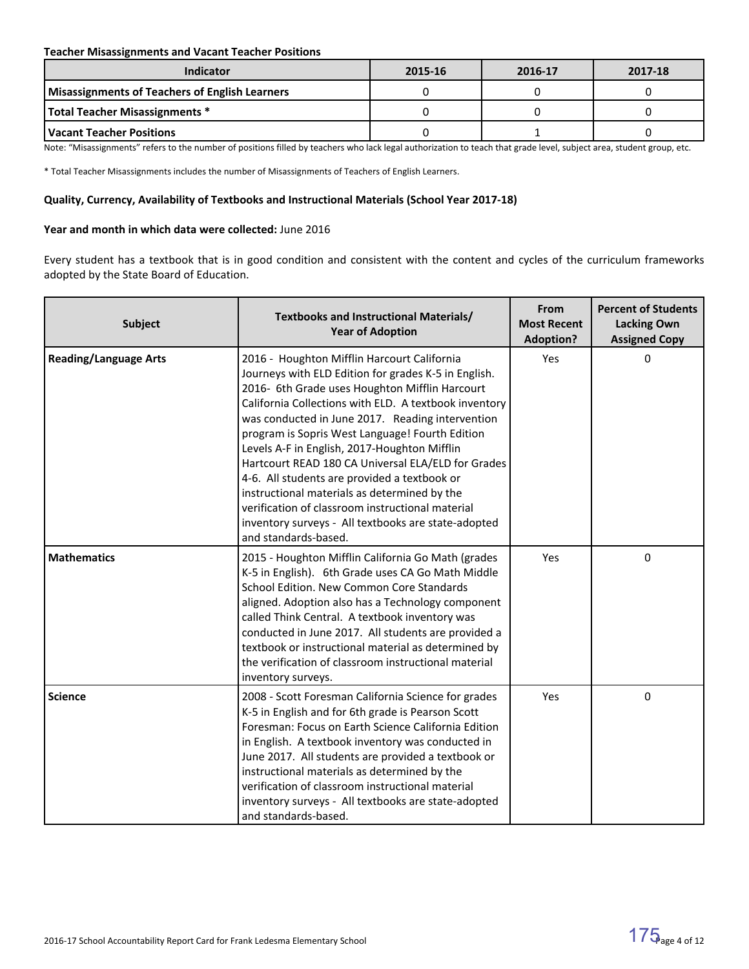### **Teacher Misassignments and Vacant Teacher Positions**

| Indicator                                             | 2015-16 | 2016-17 | 2017-18 |
|-------------------------------------------------------|---------|---------|---------|
| <b>Misassignments of Teachers of English Learners</b> |         |         |         |
| Total Teacher Misassignments *                        |         |         |         |
| Vacant Teacher Positions                              |         |         |         |

Note: "Misassignments" refers to the number of positions filled by teachers who lack legal authorization to teach that grade level, subject area, student group, etc.

\* Total Teacher Misassignments includes the number of Misassignments of Teachers of English Learners.

#### **Quality, Currency, Availability of Textbooks and Instructional Materials (School Year 2017-18)**

#### **Year and month in which data were collected:** June 2016

Every student has a textbook that is in good condition and consistent with the content and cycles of the curriculum frameworks adopted by the State Board of Education.

| <b>Subject</b>               | Textbooks and Instructional Materials/<br><b>Year of Adoption</b>                                                                                                                                                                                                                                                                                                                                                                                                                                                                                                                                                                                              | From<br><b>Most Recent</b><br><b>Adoption?</b> | <b>Percent of Students</b><br><b>Lacking Own</b><br><b>Assigned Copy</b> |
|------------------------------|----------------------------------------------------------------------------------------------------------------------------------------------------------------------------------------------------------------------------------------------------------------------------------------------------------------------------------------------------------------------------------------------------------------------------------------------------------------------------------------------------------------------------------------------------------------------------------------------------------------------------------------------------------------|------------------------------------------------|--------------------------------------------------------------------------|
| <b>Reading/Language Arts</b> | 2016 - Houghton Mifflin Harcourt California<br>Journeys with ELD Edition for grades K-5 in English.<br>2016- 6th Grade uses Houghton Mifflin Harcourt<br>California Collections with ELD. A textbook inventory<br>was conducted in June 2017. Reading intervention<br>program is Sopris West Language! Fourth Edition<br>Levels A-F in English, 2017-Houghton Mifflin<br>Hartcourt READ 180 CA Universal ELA/ELD for Grades<br>4-6. All students are provided a textbook or<br>instructional materials as determined by the<br>verification of classroom instructional material<br>inventory surveys - All textbooks are state-adopted<br>and standards-based. | Yes                                            | 0                                                                        |
| <b>Mathematics</b>           | 2015 - Houghton Mifflin California Go Math (grades<br>K-5 in English). 6th Grade uses CA Go Math Middle<br>School Edition. New Common Core Standards<br>aligned. Adoption also has a Technology component<br>called Think Central. A textbook inventory was<br>conducted in June 2017. All students are provided a<br>textbook or instructional material as determined by<br>the verification of classroom instructional material<br>inventory surveys.                                                                                                                                                                                                        | Yes                                            | 0                                                                        |
| <b>Science</b>               | 2008 - Scott Foresman California Science for grades<br>K-5 in English and for 6th grade is Pearson Scott<br>Foresman: Focus on Earth Science California Edition<br>in English. A textbook inventory was conducted in<br>June 2017. All students are provided a textbook or<br>instructional materials as determined by the<br>verification of classroom instructional material<br>inventory surveys - All textbooks are state-adopted<br>and standards-based.                                                                                                                                                                                                  | Yes                                            | 0                                                                        |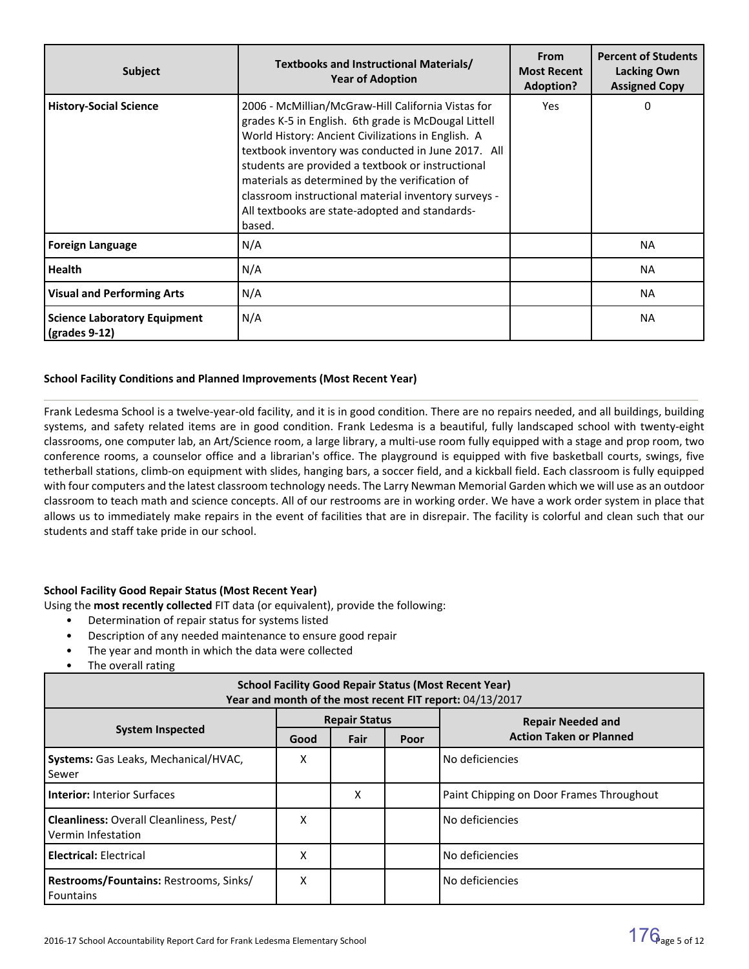| <b>Subject</b>                                       | Textbooks and Instructional Materials/<br><b>Year of Adoption</b>                                                                                                                                                                                                                                                                                                                                                                                 | From<br><b>Most Recent</b><br><b>Adoption?</b> | <b>Percent of Students</b><br><b>Lacking Own</b><br><b>Assigned Copy</b> |
|------------------------------------------------------|---------------------------------------------------------------------------------------------------------------------------------------------------------------------------------------------------------------------------------------------------------------------------------------------------------------------------------------------------------------------------------------------------------------------------------------------------|------------------------------------------------|--------------------------------------------------------------------------|
| <b>History-Social Science</b>                        | 2006 - McMillian/McGraw-Hill California Vistas for<br>grades K-5 in English. 6th grade is McDougal Littell<br>World History: Ancient Civilizations in English. A<br>textbook inventory was conducted in June 2017. All<br>students are provided a textbook or instructional<br>materials as determined by the verification of<br>classroom instructional material inventory surveys -<br>All textbooks are state-adopted and standards-<br>based. | Yes                                            | $\Omega$                                                                 |
| <b>Foreign Language</b>                              | N/A                                                                                                                                                                                                                                                                                                                                                                                                                                               |                                                | <b>NA</b>                                                                |
| <b>Health</b>                                        | N/A                                                                                                                                                                                                                                                                                                                                                                                                                                               |                                                | <b>NA</b>                                                                |
| <b>Visual and Performing Arts</b>                    | N/A                                                                                                                                                                                                                                                                                                                                                                                                                                               |                                                | <b>NA</b>                                                                |
| <b>Science Laboratory Equipment</b><br>(grades 9-12) | N/A                                                                                                                                                                                                                                                                                                                                                                                                                                               |                                                | <b>NA</b>                                                                |

# **School Facility Conditions and Planned Improvements (Most Recent Year)**

Frank Ledesma School is a twelve-year-old facility, and it is in good condition. There are no repairs needed, and all buildings, building systems, and safety related items are in good condition. Frank Ledesma is a beautiful, fully landscaped school with twenty-eight classrooms, one computer lab, an Art/Science room, a large library, a multi-use room fully equipped with a stage and prop room, two conference rooms, a counselor office and a librarian's office. The playground is equipped with five basketball courts, swings, five tetherball stations, climb-on equipment with slides, hanging bars, a soccer field, and a kickball field. Each classroom is fully equipped with four computers and the latest classroom technology needs. The Larry Newman Memorial Garden which we will use as an outdoor classroom to teach math and science concepts. All of our restrooms are in working order. We have a work order system in place that allows us to immediately make repairs in the event of facilities that are in disrepair. The facility is colorful and clean such that our students and staff take pride in our school.

#### **School Facility Good Repair Status (Most Recent Year)**

Using the **most recently collected** FIT data (or equivalent), provide the following:

- Determination of repair status for systems listed
- Description of any needed maintenance to ensure good repair
- The year and month in which the data were collected
- The overall rating

| <b>School Facility Good Repair Status (Most Recent Year)</b><br>Year and month of the most recent FIT report: 04/13/2017 |                      |      |      |                                          |  |  |  |  |
|--------------------------------------------------------------------------------------------------------------------------|----------------------|------|------|------------------------------------------|--|--|--|--|
|                                                                                                                          | <b>Repair Status</b> |      |      | <b>Repair Needed and</b>                 |  |  |  |  |
| <b>System Inspected</b>                                                                                                  | Good                 | Fair | Poor | <b>Action Taken or Planned</b>           |  |  |  |  |
| <b>Systems:</b> Gas Leaks, Mechanical/HVAC,<br>l Sewer                                                                   | х                    |      |      | No deficiencies                          |  |  |  |  |
| <b>Interior:</b> Interior Surfaces                                                                                       |                      | X    |      | Paint Chipping on Door Frames Throughout |  |  |  |  |
| <b>Cleanliness: Overall Cleanliness, Pest/</b><br>Vermin Infestation                                                     | X                    |      |      | No deficiencies                          |  |  |  |  |
| <b>Electrical: Electrical</b>                                                                                            | Χ                    |      |      | No deficiencies                          |  |  |  |  |
| Restrooms/Fountains: Restrooms, Sinks/<br><b>Fountains</b>                                                               | Χ                    |      |      | No deficiencies                          |  |  |  |  |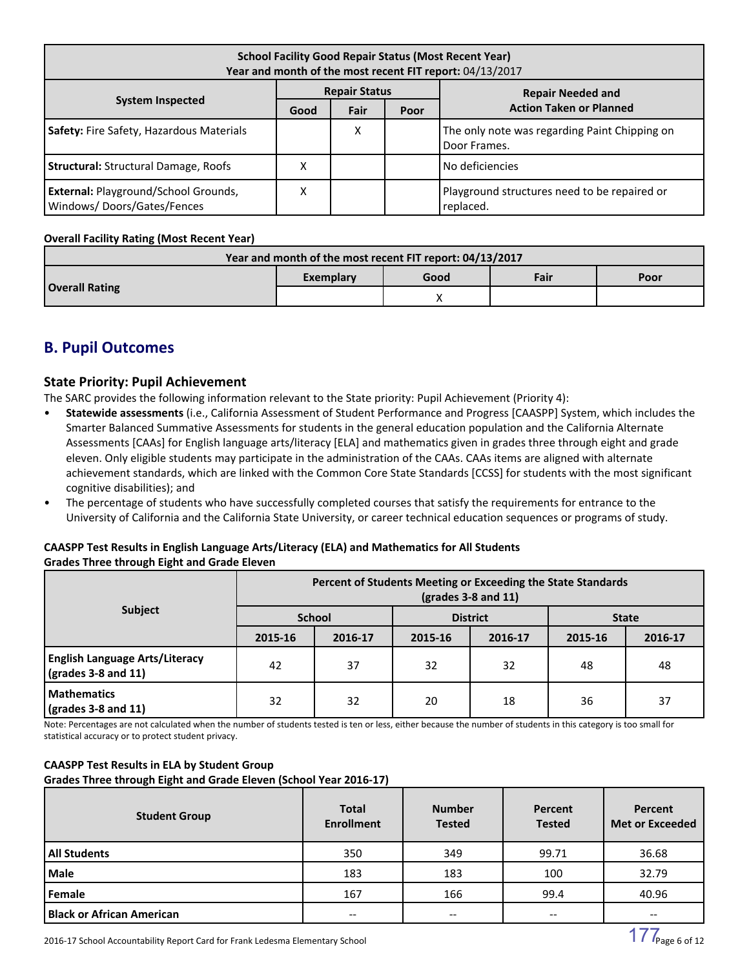| <b>School Facility Good Repair Status (Most Recent Year)</b><br>Year and month of the most recent FIT report: 04/13/2017 |                      |      |      |                                                               |  |  |  |  |  |                          |
|--------------------------------------------------------------------------------------------------------------------------|----------------------|------|------|---------------------------------------------------------------|--|--|--|--|--|--------------------------|
|                                                                                                                          | <b>Repair Status</b> |      |      |                                                               |  |  |  |  |  | <b>Repair Needed and</b> |
| <b>System Inspected</b>                                                                                                  | Good                 | Fair | Poor | <b>Action Taken or Planned</b>                                |  |  |  |  |  |                          |
| Safety: Fire Safety, Hazardous Materials                                                                                 |                      | х    |      | The only note was regarding Paint Chipping on<br>Door Frames. |  |  |  |  |  |                          |
| <b>Structural:</b> Structural Damage, Roofs                                                                              | Χ                    |      |      | No deficiencies                                               |  |  |  |  |  |                          |
| <b>External: Playground/School Grounds,</b><br>Windows/Doors/Gates/Fences                                                | Χ                    |      |      | Playground structures need to be repaired or<br>replaced.     |  |  |  |  |  |                          |

# **Overall Facility Rating (Most Recent Year)**

| Year and month of the most recent FIT report: 04/13/2017 |           |      |      |      |  |  |  |
|----------------------------------------------------------|-----------|------|------|------|--|--|--|
|                                                          | Exemplary | Good | Fair | Poor |  |  |  |
| <b>Overall Rating</b>                                    |           |      |      |      |  |  |  |

# **B. Pupil Outcomes**

# **State Priority: Pupil Achievement**

The SARC provides the following information relevant to the State priority: Pupil Achievement (Priority 4):

- **Statewide assessments** (i.e., California Assessment of Student Performance and Progress [CAASPP] System, which includes the Smarter Balanced Summative Assessments for students in the general education population and the California Alternate Assessments [CAAs] for English language arts/literacy [ELA] and mathematics given in grades three through eight and grade eleven. Only eligible students may participate in the administration of the CAAs. CAAs items are aligned with alternate achievement standards, which are linked with the Common Core State Standards [CCSS] for students with the most significant cognitive disabilities); and
- The percentage of students who have successfully completed courses that satisfy the requirements for entrance to the University of California and the California State University, or career technical education sequences or programs of study.

# **CAASPP Test Results in English Language Arts/Literacy (ELA) and Mathematics for All Students Grades Three through Eight and Grade Eleven**

|                                                                            | Percent of Students Meeting or Exceeding the State Standards<br>$\left($ grades 3-8 and 11 $\right)$ |               |         |                 |              |         |  |  |
|----------------------------------------------------------------------------|------------------------------------------------------------------------------------------------------|---------------|---------|-----------------|--------------|---------|--|--|
| <b>Subject</b>                                                             |                                                                                                      | <b>School</b> |         | <b>District</b> | <b>State</b> |         |  |  |
|                                                                            | 2015-16                                                                                              | 2016-17       | 2015-16 | 2016-17         | 2015-16      | 2016-17 |  |  |
| <b>English Language Arts/Literacy</b><br>$\frac{1}{2}$ (grades 3-8 and 11) | 42                                                                                                   | 37            | 32      | 32              | 48           | 48      |  |  |
| <b>Mathematics</b><br>$\sqrt{(grades 3-8 and 11)}$                         | 32                                                                                                   | 32            | 20      | 18              | 36           | 37      |  |  |

Note: Percentages are not calculated when the number of students tested is ten or less, either because the number of students in this category is too small for statistical accuracy or to protect student privacy.

#### **CAASPP Test Results in ELA by Student Group Grades Three through Eight and Grade Eleven (School Year 2016-17)**

| <b>Student Group</b>             | <b>Total</b><br><b>Enrollment</b> | <b>Number</b><br><b>Tested</b>        | Percent<br><b>Tested</b> | Percent<br><b>Met or Exceeded</b>     |
|----------------------------------|-----------------------------------|---------------------------------------|--------------------------|---------------------------------------|
| <b>All Students</b>              | 350                               | 349                                   | 99.71                    | 36.68                                 |
| Male                             | 183                               | 183                                   | 100                      | 32.79                                 |
| Female                           | 167                               | 166                                   | 99.4                     | 40.96                                 |
| <b>Black or African American</b> | $- -$                             | $\hspace{0.05cm}$ – $\hspace{0.05cm}$ | --                       | $\hspace{0.05cm}$ – $\hspace{0.05cm}$ |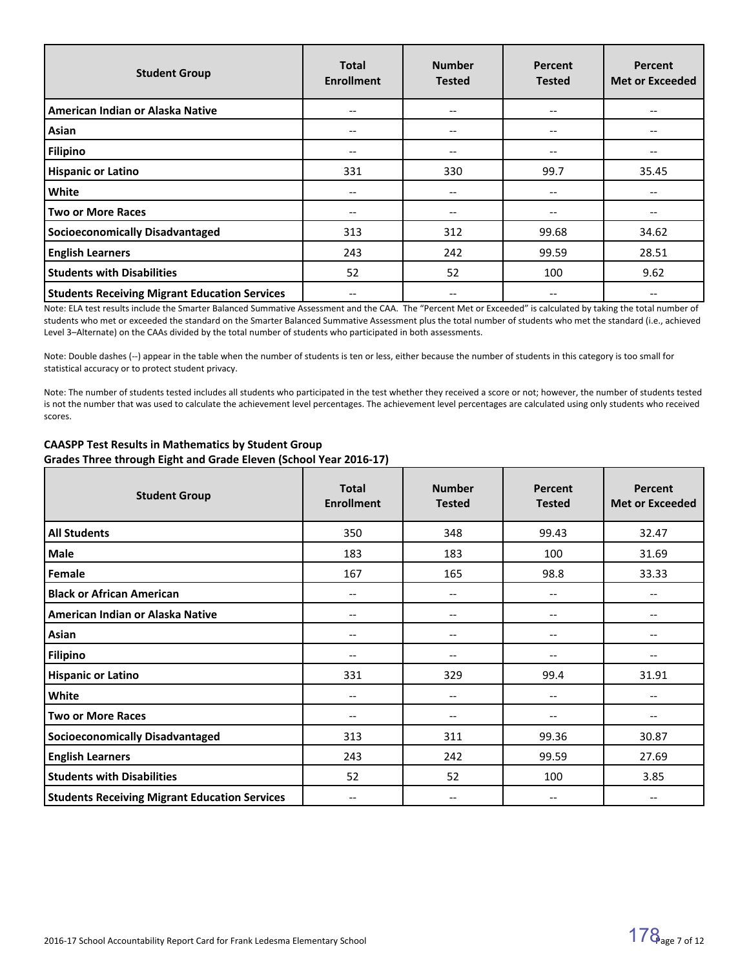| <b>Student Group</b>                                 | <b>Total</b><br><b>Enrollment</b>     | <b>Number</b><br><b>Tested</b> | Percent<br><b>Tested</b> | <b>Percent</b><br><b>Met or Exceeded</b> |
|------------------------------------------------------|---------------------------------------|--------------------------------|--------------------------|------------------------------------------|
| American Indian or Alaska Native                     | $\hspace{0.05cm}$ – $\hspace{0.05cm}$ | --                             | $\qquad \qquad -$        |                                          |
| Asian                                                | $\hspace{0.05cm}$ – $\hspace{0.05cm}$ | $\qquad \qquad -$              | --                       |                                          |
| Filipino                                             | $- -$                                 | $\qquad \qquad -$              | --                       |                                          |
| <b>Hispanic or Latino</b>                            | 331                                   | 330                            | 99.7                     | 35.45                                    |
| White                                                | $- -$                                 | --                             |                          |                                          |
| <b>Two or More Races</b>                             | --                                    | --                             | --                       |                                          |
| <b>Socioeconomically Disadvantaged</b>               | 313                                   | 312                            | 99.68                    | 34.62                                    |
| <b>English Learners</b>                              | 243                                   | 242                            | 99.59                    | 28.51                                    |
| <b>Students with Disabilities</b>                    | 52                                    | 52                             | 100                      | 9.62                                     |
| <b>Students Receiving Migrant Education Services</b> | --                                    | --                             | --                       | --                                       |

Note: ELA test results include the Smarter Balanced Summative Assessment and the CAA. The "Percent Met or Exceeded" is calculated by taking the total number of students who met or exceeded the standard on the Smarter Balanced Summative Assessment plus the total number of students who met the standard (i.e., achieved Level 3–Alternate) on the CAAs divided by the total number of students who participated in both assessments.

Note: Double dashes (--) appear in the table when the number of students is ten or less, either because the number of students in this category is too small for statistical accuracy or to protect student privacy.

Note: The number of students tested includes all students who participated in the test whether they received a score or not; however, the number of students tested is not the number that was used to calculate the achievement level percentages. The achievement level percentages are calculated using only students who received scores.

| <b>Student Group</b>                                 | <b>Total</b><br><b>Enrollment</b> | <b>Number</b><br><b>Tested</b>        | Percent<br><b>Tested</b>              | Percent<br><b>Met or Exceeded</b> |
|------------------------------------------------------|-----------------------------------|---------------------------------------|---------------------------------------|-----------------------------------|
| <b>All Students</b>                                  | 350                               | 348                                   | 99.43                                 | 32.47                             |
| Male                                                 | 183                               | 183                                   | 100                                   | 31.69                             |
| Female                                               | 167                               | 165                                   | 98.8                                  | 33.33                             |
| <b>Black or African American</b>                     | --                                | $\hspace{0.05cm} \ldots$              | $\overline{\phantom{a}}$              | --                                |
| American Indian or Alaska Native                     | --                                | $\hspace{0.05cm} \ldots$              | $\hspace{0.05cm} \textbf{--}$         | --                                |
| Asian                                                | --                                | $\overline{\phantom{a}}$              | --                                    |                                   |
| <b>Filipino</b>                                      | --                                | $\hspace{0.05cm} \ldots$              | $\overline{\phantom{a}}$              |                                   |
| <b>Hispanic or Latino</b>                            | 331                               | 329                                   | 99.4                                  | 31.91                             |
| White                                                | --                                | $\hspace{0.05cm} \ldots$              | $\hspace{0.05cm}$ – $\hspace{0.05cm}$ | --                                |
| <b>Two or More Races</b>                             | --                                | $\hspace{0.05cm} \ldots$              | --                                    | --                                |
| <b>Socioeconomically Disadvantaged</b>               | 313                               | 311                                   | 99.36                                 | 30.87                             |
| <b>English Learners</b>                              | 243                               | 242                                   | 99.59                                 | 27.69                             |
| <b>Students with Disabilities</b>                    | 52                                | 52                                    | 100                                   | 3.85                              |
| <b>Students Receiving Migrant Education Services</b> | --                                | $\hspace{0.05cm}$ – $\hspace{0.05cm}$ | --                                    | --                                |

# **CAASPP Test Results in Mathematics by Student Group Grades Three through Eight and Grade Eleven (School Year 2016-17)**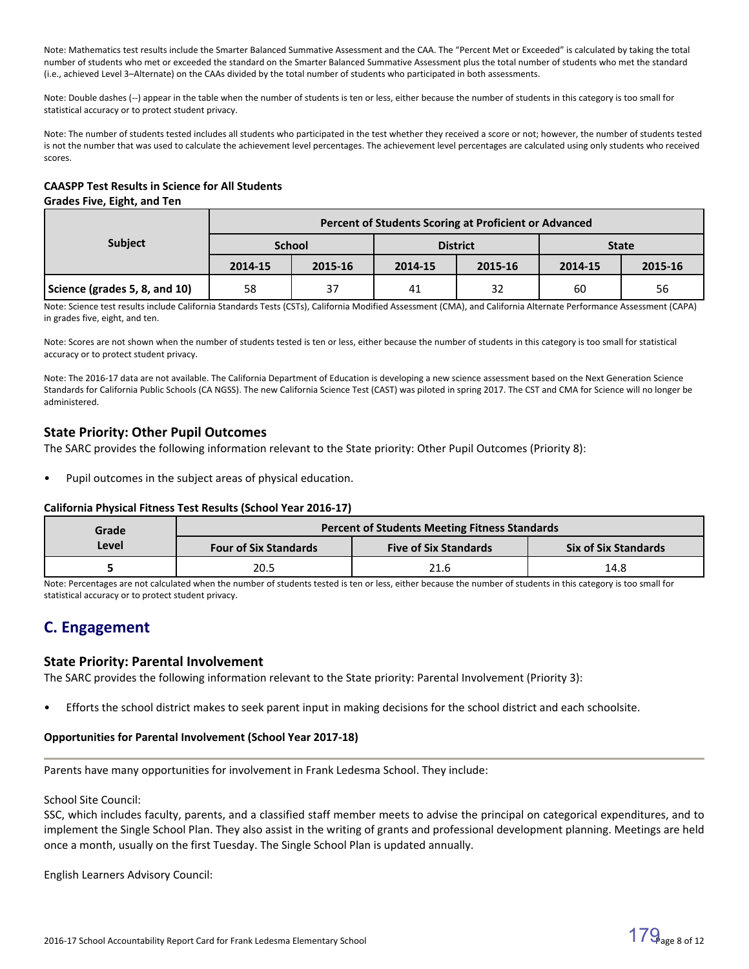Note: Mathematics test results include the Smarter Balanced Summative Assessment and the CAA. The "Percent Met or Exceeded" is calculated by taking the total number of students who met or exceeded the standard on the Smarter Balanced Summative Assessment plus the total number of students who met the standard (i.e., achieved Level 3–Alternate) on the CAAs divided by the total number of students who participated in both assessments.

Note: Double dashes (--) appear in the table when the number of students is ten or less, either because the number of students in this category is too small for statistical accuracy or to protect student privacy.

Note: The number of students tested includes all students who participated in the test whether they received a score or not; however, the number of students tested is not the number that was used to calculate the achievement level percentages. The achievement level percentages are calculated using only students who received scores.

#### **CAASPP Test Results in Science for All Students Grades Five, Eight, and Ten**

|                               | Percent of Students Scoring at Proficient or Advanced |         |         |                 |              |         |  |  |
|-------------------------------|-------------------------------------------------------|---------|---------|-----------------|--------------|---------|--|--|
| <b>Subject</b>                | <b>School</b>                                         |         |         | <b>District</b> | <b>State</b> |         |  |  |
|                               | 2014-15                                               | 2015-16 | 2014-15 | 2015-16         | 2014-15      | 2015-16 |  |  |
| Science (grades 5, 8, and 10) | 58                                                    | 37      | 41      | 32              | 60           | 56      |  |  |

Note: Science test results include California Standards Tests (CSTs), California Modified Assessment (CMA), and California Alternate Performance Assessment (CAPA) in grades five, eight, and ten.

Note: Scores are not shown when the number of students tested is ten or less, either because the number of students in this category is too small for statistical accuracy or to protect student privacy.

Note: The 2016-17 data are not available. The California Department of Education is developing a new science assessment based on the Next Generation Science Standards for California Public Schools (CA NGSS). The new California Science Test (CAST) was piloted in spring 2017. The CST and CMA for Science will no longer be administered.

# **State Priority: Other Pupil Outcomes**

The SARC provides the following information relevant to the State priority: Other Pupil Outcomes (Priority 8):

Pupil outcomes in the subject areas of physical education.

# **California Physical Fitness Test Results (School Year 2016-17)**

| Grade |                              | <b>Percent of Students Meeting Fitness Standards</b> |                             |  |  |
|-------|------------------------------|------------------------------------------------------|-----------------------------|--|--|
| Level | <b>Four of Six Standards</b> | <b>Five of Six Standards</b>                         | <b>Six of Six Standards</b> |  |  |
|       | 20.5                         | 21.6                                                 | 14.8                        |  |  |

Note: Percentages are not calculated when the number of students tested is ten or less, either because the number of students in this category is too small for statistical accuracy or to protect student privacy.

# **C. Engagement**

# **State Priority: Parental Involvement**

The SARC provides the following information relevant to the State priority: Parental Involvement (Priority 3):

• Efforts the school district makes to seek parent input in making decisions for the school district and each schoolsite.

# **Opportunities for Parental Involvement (School Year 2017-18)**

Parents have many opportunities for involvement in Frank Ledesma School. They include:

#### School Site Council:

SSC, which includes faculty, parents, and a classified staff member meets to advise the principal on categorical expenditures, and to implement the Single School Plan. They also assist in the writing of grants and professional development planning. Meetings are held once a month, usually on the first Tuesday. The Single School Plan is updated annually.

English Learners Advisory Council: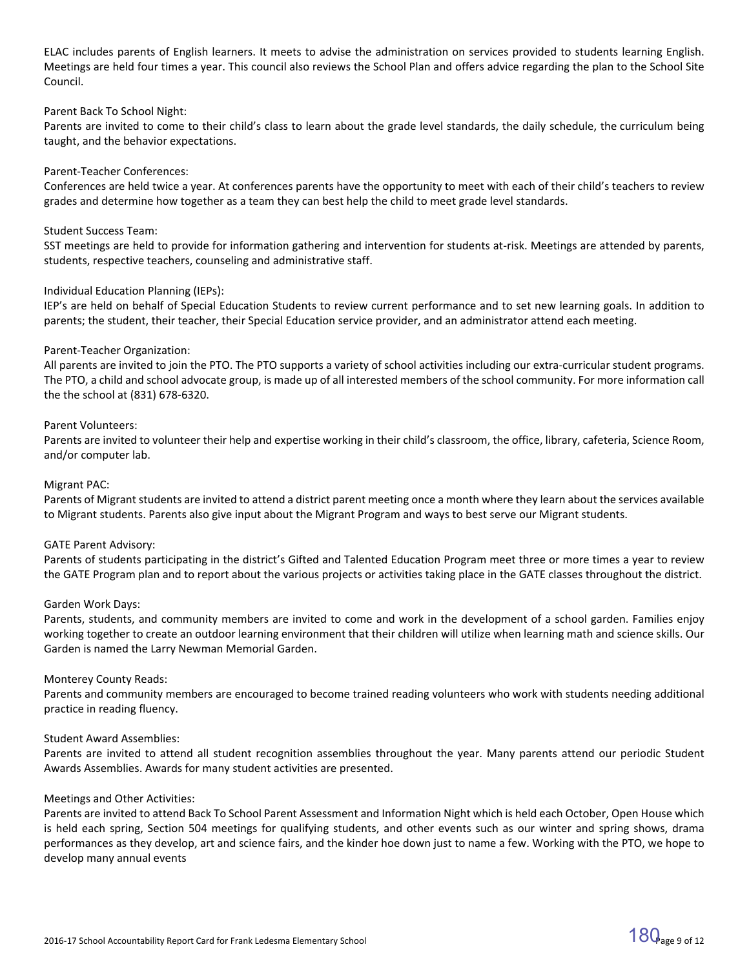ELAC includes parents of English learners. It meets to advise the administration on services provided to students learning English. Meetings are held four times a year. This council also reviews the School Plan and offers advice regarding the plan to the School Site Council.

#### Parent Back To School Night:

Parents are invited to come to their child's class to learn about the grade level standards, the daily schedule, the curriculum being taught, and the behavior expectations.

#### Parent-Teacher Conferences:

Conferences are held twice a year. At conferences parents have the opportunity to meet with each of their child's teachers to review grades and determine how together as a team they can best help the child to meet grade level standards.

#### Student Success Team:

SST meetings are held to provide for information gathering and intervention for students at-risk. Meetings are attended by parents, students, respective teachers, counseling and administrative staff.

#### Individual Education Planning (IEPs):

IEP's are held on behalf of Special Education Students to review current performance and to set new learning goals. In addition to parents; the student, their teacher, their Special Education service provider, and an administrator attend each meeting.

#### Parent-Teacher Organization:

All parents are invited to join the PTO. The PTO supports a variety of school activities including our extra-curricular student programs. The PTO, a child and school advocate group, is made up of all interested members of the school community. For more information call the the school at (831) 678-6320.

#### Parent Volunteers:

Parents are invited to volunteer their help and expertise working in their child's classroom, the office, library, cafeteria, Science Room, and/or computer lab.

#### Migrant PAC:

Parents of Migrant students are invited to attend a district parent meeting once a month where they learn about the services available to Migrant students. Parents also give input about the Migrant Program and ways to best serve our Migrant students.

#### GATE Parent Advisory:

Parents of students participating in the district's Gifted and Talented Education Program meet three or more times a year to review the GATE Program plan and to report about the various projects or activities taking place in the GATE classes throughout the district.

#### Garden Work Days:

Parents, students, and community members are invited to come and work in the development of a school garden. Families enjoy working together to create an outdoor learning environment that their children will utilize when learning math and science skills. Our Garden is named the Larry Newman Memorial Garden.

#### Monterey County Reads:

Parents and community members are encouraged to become trained reading volunteers who work with students needing additional practice in reading fluency.

#### Student Award Assemblies:

Parents are invited to attend all student recognition assemblies throughout the year. Many parents attend our periodic Student Awards Assemblies. Awards for many student activities are presented.

#### Meetings and Other Activities:

Parents are invited to attend Back To School Parent Assessment and Information Night which is held each October, Open House which is held each spring, Section 504 meetings for qualifying students, and other events such as our winter and spring shows, drama performances as they develop, art and science fairs, and the kinder hoe down just to name a few. Working with the PTO, we hope to develop many annual events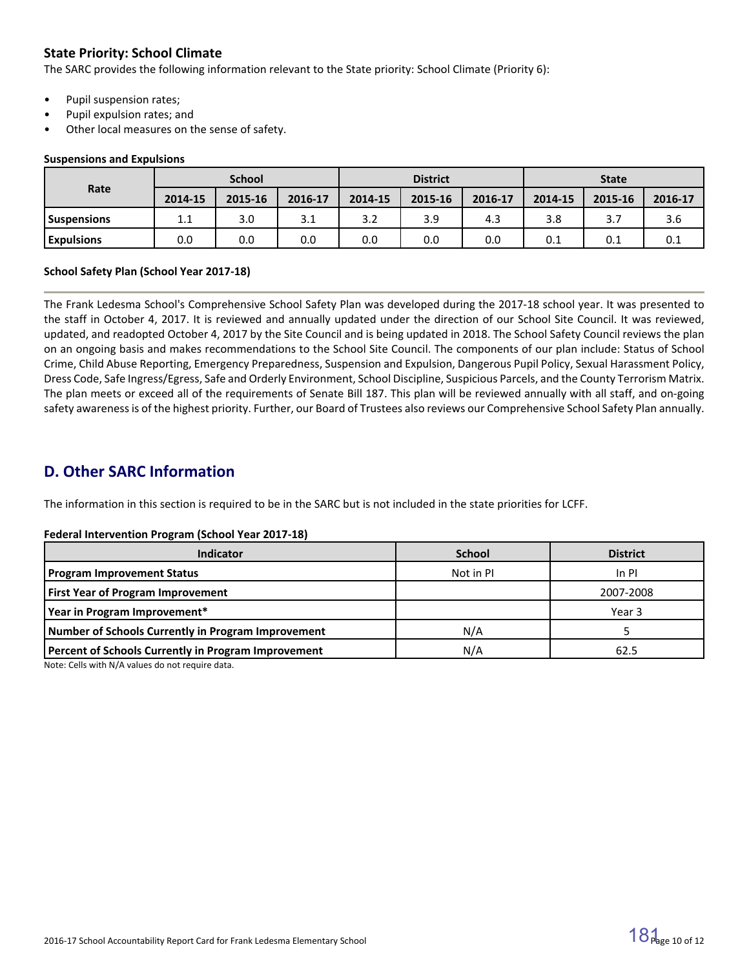# **State Priority: School Climate**

The SARC provides the following information relevant to the State priority: School Climate (Priority 6):

- Pupil suspension rates;
- Pupil expulsion rates; and
- Other local measures on the sense of safety.

#### **Suspensions and Expulsions**

|                    | <b>School</b> |         |         | <b>District</b> |         |         | <b>State</b> |         |         |
|--------------------|---------------|---------|---------|-----------------|---------|---------|--------------|---------|---------|
| Rate               | 2014-15       | 2015-16 | 2016-17 | 2014-15         | 2015-16 | 2016-17 | 2014-15      | 2015-16 | 2016-17 |
| <b>Suspensions</b> | 11<br>ᆠᆞᆠ     | 3.0     | 3.1     | 3.2             | 3.9     | 4.3     | 3.8          |         | 3.6     |
| <b>Expulsions</b>  | 0.0           | 0.0     | 0.0     | 0.0             | 0.0     | 0.0     | 0.1          | 0.1     | 0.1     |

#### **School Safety Plan (School Year 2017-18)**

The Frank Ledesma School's Comprehensive School Safety Plan was developed during the 2017-18 school year. It was presented to the staff in October 4, 2017. It is reviewed and annually updated under the direction of our School Site Council. It was reviewed, updated, and readopted October 4, 2017 by the Site Council and is being updated in 2018. The School Safety Council reviews the plan on an ongoing basis and makes recommendations to the School Site Council. The components of our plan include: Status of School Crime, Child Abuse Reporting, Emergency Preparedness, Suspension and Expulsion, Dangerous Pupil Policy, Sexual Harassment Policy, Dress Code, Safe Ingress/Egress, Safe and Orderly Environment, School Discipline, Suspicious Parcels, and the County Terrorism Matrix. The plan meets or exceed all of the requirements of Senate Bill 187. This plan will be reviewed annually with all staff, and on-going safety awareness is of the highest priority. Further, our Board of Trustees also reviews our Comprehensive School Safety Plan annually.

# **D. Other SARC Information**

The information in this section is required to be in the SARC but is not included in the state priorities for LCFF.

#### **Federal Intervention Program (School Year 2017-18)**

| Indicator                                           | <b>School</b> | <b>District</b> |
|-----------------------------------------------------|---------------|-----------------|
| <b>Program Improvement Status</b>                   | Not in PI     | In PI           |
| <b>First Year of Program Improvement</b>            |               | 2007-2008       |
| Year in Program Improvement*                        |               | Year 3          |
| Number of Schools Currently in Program Improvement  | N/A           |                 |
| Percent of Schools Currently in Program Improvement | N/A           | 62.5            |

Note: Cells with N/A values do not require data.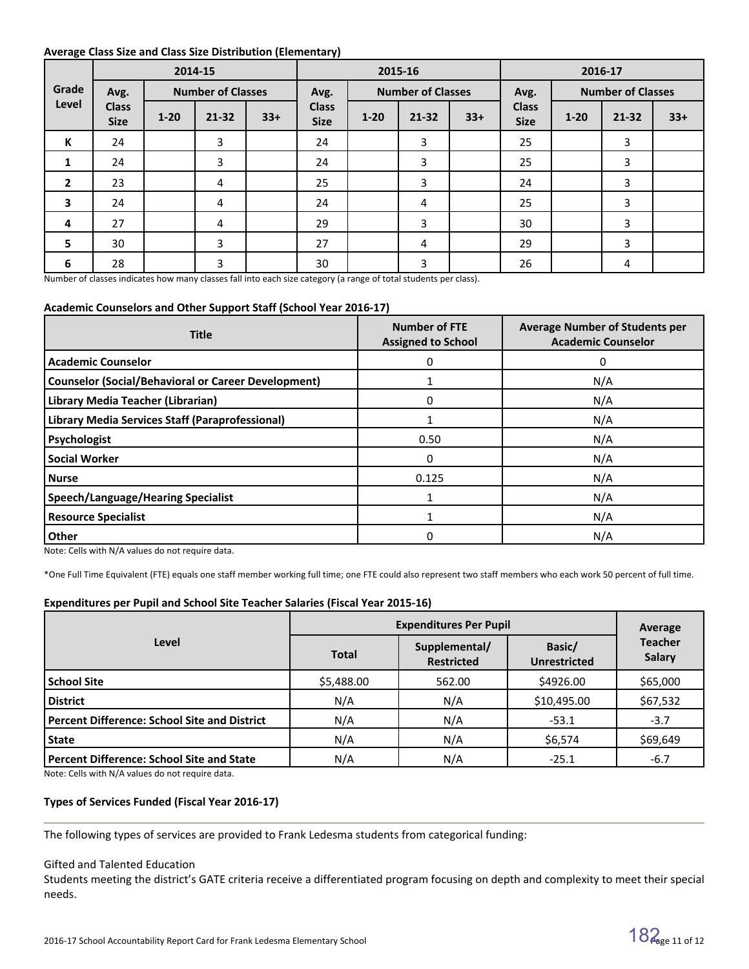#### **Average Class Size and Class Size Distribution (Elementary)**

|                         |                             |          | 2014-15                  |       | 2015-16                     |          |                          |       |                             | 2016-17  |                          |       |
|-------------------------|-----------------------------|----------|--------------------------|-------|-----------------------------|----------|--------------------------|-------|-----------------------------|----------|--------------------------|-------|
| Grade                   | Avg.                        |          | <b>Number of Classes</b> |       | Avg.                        |          | <b>Number of Classes</b> |       | Avg.                        |          | <b>Number of Classes</b> |       |
| Level                   | <b>Class</b><br><b>Size</b> | $1 - 20$ | $21 - 32$                | $33+$ | <b>Class</b><br><b>Size</b> | $1 - 20$ | $21 - 32$                | $33+$ | <b>Class</b><br><b>Size</b> | $1 - 20$ | $21 - 32$                | $33+$ |
| K                       | 24                          |          | 3                        |       | 24                          |          | 3                        |       | 25                          |          | 3                        |       |
| 1                       | 24                          |          | 3                        |       | 24                          |          | 3                        |       | 25                          |          | 3                        |       |
| $\overline{2}$          | 23                          |          | 4                        |       | 25                          |          | 3                        |       | 24                          |          | 3                        |       |
| $\overline{\mathbf{3}}$ | 24                          |          | 4                        |       | 24                          |          | 4                        |       | 25                          |          | 3                        |       |
| 4                       | 27                          |          | 4                        |       | 29                          |          | 3                        |       | 30                          |          | 3                        |       |
| 5                       | 30                          |          | 3                        |       | 27                          |          | 4                        |       | 29                          |          | 3                        |       |
| 6                       | 28                          |          | 3                        |       | 30                          |          | 3                        |       | 26                          |          | 4                        |       |

Number of classes indicates how many classes fall into each size category (a range of total students per class).

# **Academic Counselors and Other Support Staff (School Year 2016-17)**

| <b>Title</b>                                               | <b>Number of FTE</b><br><b>Assigned to School</b> | <b>Average Number of Students per</b><br><b>Academic Counselor</b> |
|------------------------------------------------------------|---------------------------------------------------|--------------------------------------------------------------------|
| <b>Academic Counselor</b>                                  | 0                                                 | 0                                                                  |
| <b>Counselor (Social/Behavioral or Career Development)</b> |                                                   | N/A                                                                |
| Library Media Teacher (Librarian)                          | 0                                                 | N/A                                                                |
| Library Media Services Staff (Paraprofessional)            |                                                   | N/A                                                                |
| Psychologist                                               | 0.50                                              | N/A                                                                |
| <b>Social Worker</b>                                       | $\Omega$                                          | N/A                                                                |
| <b>Nurse</b>                                               | 0.125                                             | N/A                                                                |
| <b>Speech/Language/Hearing Specialist</b>                  |                                                   | N/A                                                                |
| <b>Resource Specialist</b>                                 |                                                   | N/A                                                                |
| <b>Other</b>                                               | 0                                                 | N/A                                                                |

Note: Cells with N/A values do not require data.

\*One Full Time Equivalent (FTE) equals one staff member working full time; one FTE could also represent two staff members who each work 50 percent of full time.

#### **Expenditures per Pupil and School Site Teacher Salaries (Fiscal Year 2015-16)**

|                                                     | <b>Expenditures Per Pupil</b> | Average                            |                               |                                 |  |
|-----------------------------------------------------|-------------------------------|------------------------------------|-------------------------------|---------------------------------|--|
| Level                                               | <b>Total</b>                  | Supplemental/<br><b>Restricted</b> | Basic/<br><b>Unrestricted</b> | <b>Teacher</b><br><b>Salary</b> |  |
| <b>School Site</b>                                  | \$5,488.00                    | 562.00                             | \$4926.00                     | \$65,000                        |  |
| <b>District</b>                                     | N/A                           | N/A                                | \$10,495.00                   | \$67,532                        |  |
| <b>Percent Difference: School Site and District</b> | N/A                           | N/A                                | $-53.1$                       | $-3.7$                          |  |
| <b>State</b>                                        | N/A                           | N/A                                | \$6,574                       | \$69,649                        |  |
| <b>Percent Difference: School Site and State</b>    | N/A                           | N/A                                | $-25.1$                       | $-6.7$                          |  |

Note: Cells with N/A values do not require data.

### **Types of Services Funded (Fiscal Year 2016-17)**

The following types of services are provided to Frank Ledesma students from categorical funding:

#### Gifted and Talented Education

Students meeting the district's GATE criteria receive a differentiated program focusing on depth and complexity to meet their special needs.